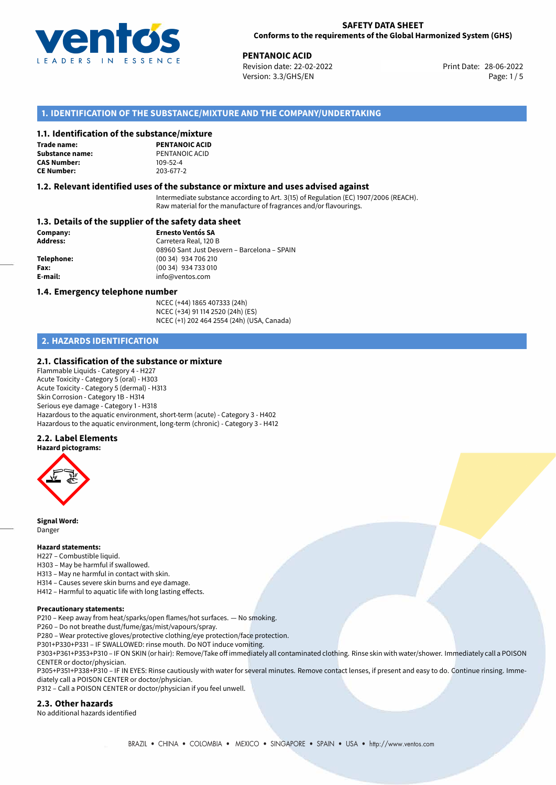

## **SAFETY DATA SHEET Conforms to the requirements of the Global Harmonized System (GHS)**

28-06-2022 **PENTANOIC ACID** Revision date: 22-02-2022 Version: 3.3/GHS/EN Page: 1/5

## **1. IDENTIFICATION OF THE SUBSTANCE/MIXTURE AND THE COMPANY/UNDERTAKING**

## **1.1. Identification of the substance/mixture**

**Trade name: Substance name:** PENTANOIC ACID<br> **CAS Number:** 109-52-4 **CAS Number: CE Number:** 203-677-2

**PENTANOIC ACID**

## **1.2. Relevant identified uses of the substance or mixture and uses advised against**

Intermediate substance according to Art. 3(15) of Regulation (EC) 1907/2006 (REACH). Raw material for the manufacture of fragrances and/or flavourings.

## **1.3. Details of the supplier of the safety data sheet**

**Company: Ernesto Ventós SA Address:** Carretera Real, 120 B 08960 Sant Just Desvern – Barcelona – SPAIN **Telephone:** (00 34) 934 706 210 **Fax:** (00 34) 934 733 010 **E-mail:** info@ventos.com

#### **1.4. Emergency telephone number**

NCEC (+44) 1865 407333 (24h) NCEC (+34) 91 114 2520 (24h) (ES) NCEC (+1) 202 464 2554 (24h) (USA, Canada)

## **2. HAZARDS IDENTIFICATION**

## **2.1. Classification of the substance or mixture**

Flammable Liquids - Category 4 - H227 Acute Toxicity - Category 5 (oral) - H303 Acute Toxicity - Category 5 (dermal) - H313 Skin Corrosion - Category 1B - H314 Serious eye damage - Category 1 - H318 Hazardous to the aquatic environment, short-term (acute) - Category 3 - H402 Hazardous to the aquatic environment, long-term (chronic) - Category 3 - H412

## **2.2. Label Elements**

**Hazard pictograms:**



**Signal Word:** Danger

## **Hazard statements:**

H227 – Combustible liquid.

- H303 May be harmful if swallowed.
- H313 May ne harmful in contact with skin.
- H314 Causes severe skin burns and eye damage.
- H412 Harmful to aquatic life with long lasting effects.

### **Precautionary statements:**

P210 – Keep away from heat/sparks/open flames/hot surfaces. — No smoking.

P260 – Do not breathe dust/fume/gas/mist/vapours/spray.

- P280 Wear protective gloves/protective clothing/eye protection/face protection.
- P301+P330+P331 IF SWALLOWED: rinse mouth. Do NOT induce vomiting.

P303+P361+P353+P310 – IF ON SKIN (or hair): Remove/Take off immediately all contaminated clothing. Rinse skin with water/shower. Immediately call a POISON CENTER or doctor/physician.

P305+P351+P338+P310 – IF IN EYES: Rinse cautiously with water for several minutes. Remove contact lenses, if present and easy to do. Continue rinsing. Immediately call a POISON CENTER or doctor/physician.

P312 – Call a POISON CENTER or doctor/physician if you feel unwell.

#### **2.3. Other hazards**

No additional hazards identified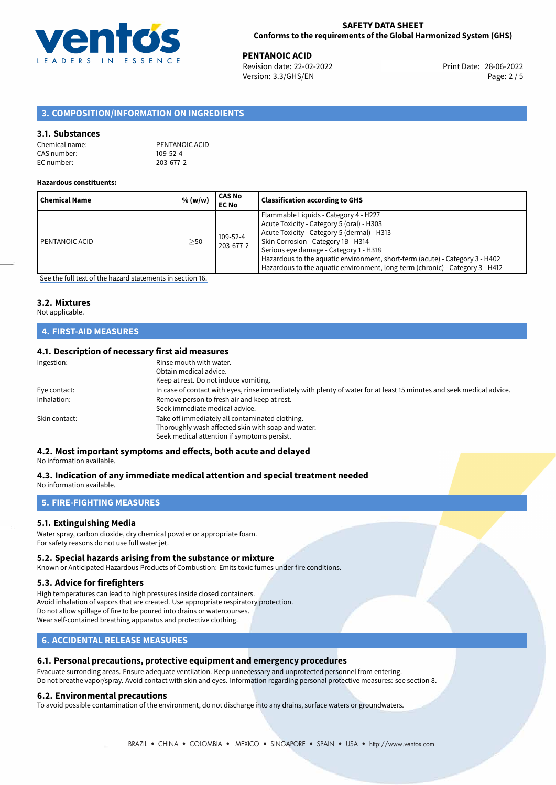

28-06-2022 **PENTANOIC ACID** Revision date: 22-02-2022 Print Date: Version: 3.3/GHS/EN Page: 2 / 5

## **3. COMPOSITION/INFORMATION ON INGREDIENTS**

## **3.1. Substances**

| Chemical name: | PENTANOIC ACID |
|----------------|----------------|
| CAS number:    | $109 - 52 - 4$ |
| EC number:     | 203-677-2      |

#### **Hazardous constituents:**

| <b>Chemical Name</b> | % (w/w)   | <b>CAS No</b><br><b>EC No</b> | <b>Classification according to GHS</b>                                                                                                                                                                                                                                                                                                                                              |
|----------------------|-----------|-------------------------------|-------------------------------------------------------------------------------------------------------------------------------------------------------------------------------------------------------------------------------------------------------------------------------------------------------------------------------------------------------------------------------------|
| PENTANOIC ACID       | $\geq$ 50 | 109-52-4<br>203-677-2         | Flammable Liquids - Category 4 - H227<br>Acute Toxicity - Category 5 (oral) - H303<br>Acute Toxicity - Category 5 (dermal) - H313<br>Skin Corrosion - Category 1B - H314<br>Serious eye damage - Category 1 - H318<br>Hazardous to the aquatic environment, short-term (acute) - Category 3 - H402<br>Hazardous to the aquatic environment, long-term (chronic) - Category 3 - H412 |

[See the full text of the hazard statements in section 16.](#page-4-0)

## **3.2. Mixtures**

Not applicable.

## **4. FIRST-AID MEASURES**

## **4.1. Description of necessary first aid measures**

| Ingestion:    | Rinse mouth with water.<br>Obtain medical advice.<br>Keep at rest. Do not induce vomiting.                                                           |
|---------------|------------------------------------------------------------------------------------------------------------------------------------------------------|
| Eye contact:  | In case of contact with eyes, rinse immediately with plenty of water for at least 15 minutes and seek medical advice.                                |
| Inhalation:   | Remove person to fresh air and keep at rest.<br>Seek immediate medical advice.                                                                       |
| Skin contact: | Take off immediately all contaminated clothing.<br>Thoroughly wash affected skin with soap and water.<br>Seek medical attention if symptoms persist. |

## **4.2. Most important symptoms and effects, both acute and delayed**

No information available.

#### **4.3. Indication of any immediate medical attention and special treatment needed** No information available.

## **5. FIRE-FIGHTING MEASURES**

## **5.1. Extinguishing Media**

Water spray, carbon dioxide, dry chemical powder or appropriate foam. For safety reasons do not use full water jet.

#### **5.2. Special hazards arising from the substance or mixture**

Known or Anticipated Hazardous Products of Combustion: Emits toxic fumes under fire conditions.

#### **5.3. Advice for firefighters**

High temperatures can lead to high pressures inside closed containers. Avoid inhalation of vapors that are created. Use appropriate respiratory protection. Do not allow spillage of fire to be poured into drains or watercourses. Wear self-contained breathing apparatus and protective clothing.

## **6. ACCIDENTAL RELEASE MEASURES**

## **6.1. Personal precautions, protective equipment and emergency procedures**

Evacuate surronding areas. Ensure adequate ventilation. Keep unnecessary and unprotected personnel from entering. Do not breathe vapor/spray. Avoid contact with skin and eyes. Information regarding personal protective measures: see section 8.

#### **6.2. Environmental precautions**

To avoid possible contamination of the environment, do not discharge into any drains, surface waters or groundwaters.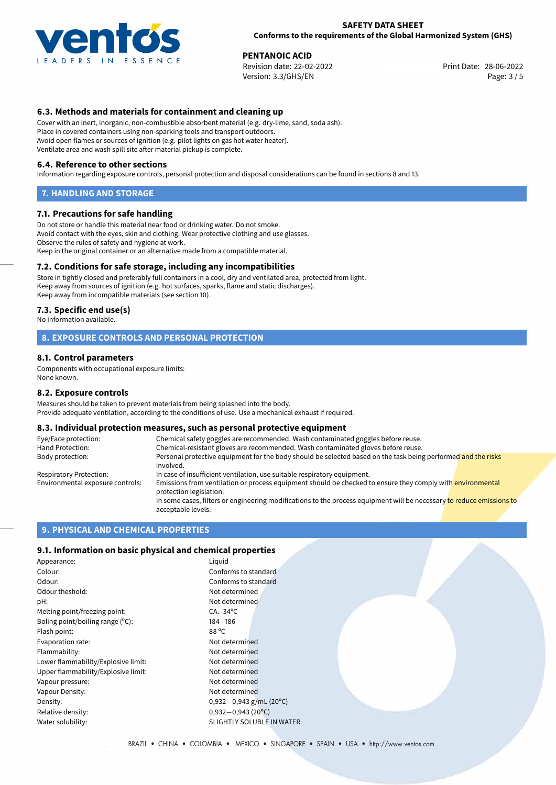

### **SAFETY DATA SHEET Conforms to the requirements of the Global Harmonized System (GHS)**

28-06-2022 **PENTANOIC ACID** Revision date: 22-02-2022 Print Date: Version: 3.3/GHS/EN Page: 3 / 5

## **6.3. Methods and materials for containment and cleaning up**

Cover with an inert, inorganic, non-combustible absorbent material (e.g. dry-lime, sand, soda ash). Place in covered containers using non-sparking tools and transport outdoors. Avoid open flames or sources of ignition (e.g. pilot lights on gas hot water heater). Ventilate area and wash spill site after material pickup is complete.

### **6.4. Reference to other sections**

Information regarding exposure controls, personal protection and disposal considerations can be found in sections 8 and 13.

### **7. HANDLING AND STORAGE**

## **7.1. Precautions for safe handling**

Do not store or handle this material near food or drinking water. Do not smoke. Avoid contact with the eyes, skin and clothing. Wear protective clothing and use glasses. Observe the rules of safety and hygiene at work. Keep in the original container or an alternative made from a compatible material.

## **7.2. Conditions for safe storage, including any incompatibilities**

Store in tightly closed and preferably full containers in a cool, dry and ventilated area, protected from light. Keep away from sources of ignition (e.g. hot surfaces, sparks, flame and static discharges). Keep away from incompatible materials (see section 10).

### **7.3. Specific end use(s)**

No information available.

## **8. EXPOSURE CONTROLS AND PERSONAL PROTECTION**

## **8.1. Control parameters**

Components with occupational exposure limits: None known.

#### **8.2. Exposure controls**

Measures should be taken to prevent materials from being splashed into the body. Provide adequate ventilation, according to the conditions of use. Use a mechanical exhaust if required.

## **8.3. Individual protection measures, such as personal protective equipment**

| Eye/Face protection:             | Chemical safety goggles are recommended. Wash contaminated goggles before reuse.                                                            |  |  |
|----------------------------------|---------------------------------------------------------------------------------------------------------------------------------------------|--|--|
| Hand Protection:                 | Chemical-resistant gloves are recommended. Wash contaminated gloves before reuse.                                                           |  |  |
| Body protection:                 | Personal protective equipment for the body should be selected based on the task being performed and the risks<br>involved.                  |  |  |
| Respiratory Protection:          | In case of insufficient ventilation, use suitable respiratory equipment.                                                                    |  |  |
| Environmental exposure controls: | Emissions from ventilation or process equipment should be checked to ensure they comply with environmental<br>protection legislation.       |  |  |
|                                  | In some cases, filters or engineering modifications to the process equipment will be necessary to reduce emissions to<br>acceptable levels. |  |  |

## **9. PHYSICAL AND CHEMICAL PROPERTIES**

## **9.1. Information on basic physical and chemical properties**

| Appearance:                         | Liquid                           |  |
|-------------------------------------|----------------------------------|--|
| Colour:                             | Conforms to standard             |  |
| Odour:                              | Conforms to standard             |  |
| Odour theshold:                     | Not determined                   |  |
| pH:                                 | Not determined                   |  |
| Melting point/freezing point:       | $CA. -34$ <sup>o</sup> C         |  |
| Boling point/boiling range $(°C)$ : | 184 - 186                        |  |
| Flash point:                        | 88 °C                            |  |
| Evaporation rate:                   | Not determined                   |  |
| Flammability:                       | Not determined                   |  |
| Lower flammability/Explosive limit: | Not determined                   |  |
| Upper flammability/Explosive limit: | Not determined                   |  |
| Vapour pressure:                    | Not determined                   |  |
| Vapour Density:                     | Not determined                   |  |
| Density:                            | $0,932-0,943$ g/mL (20°C)        |  |
| Relative density:                   | $0,932 - 0,943$ (20°C)           |  |
| Water solubility:                   | <b>SLIGHTLY SOLUBLE IN WATER</b> |  |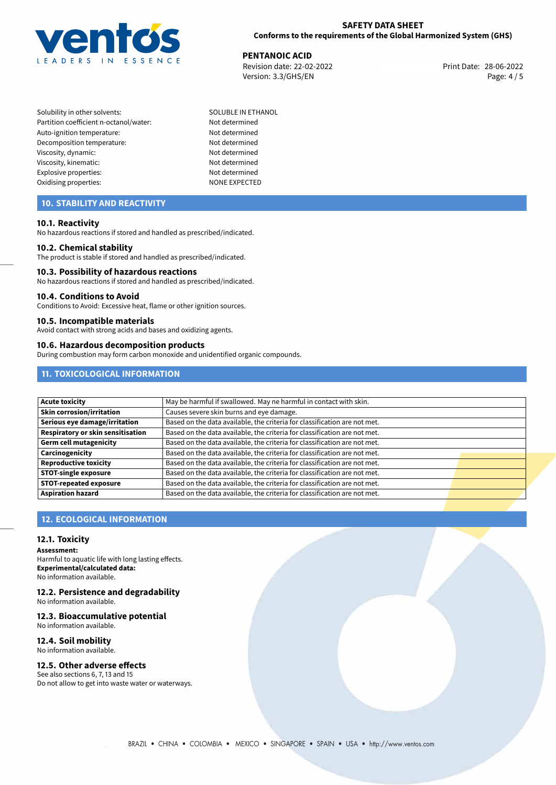

## **SAFETY DATA SHEET Conforms to the requirements of the Global Harmonized System (GHS)**

**PENTANOIC ACID**<br>
Revision date: 22-02-2022 **Print Date: 28-06-2022** Revision date: 22-02-2022 Version: 3.3/GHS/EN Page: 4 / 5

Solubility in other solvents: SOLUBLE IN ETHANOL Partition coefficient n-octanol/water: Not determined Auto-ignition temperature: Not determined Decomposition temperature: Not determined Viscosity, dynamic: Not determined Viscosity, kinematic: Not determined Explosive properties: Not determined Oxidising properties: NONE EXPECTED

## **10. STABILITY AND REACTIVITY**

## **10.1. Reactivity**

No hazardous reactions if stored and handled as prescribed/indicated.

#### **10.2. Chemical stability**

The product is stable if stored and handled as prescribed/indicated.

### **10.3. Possibility of hazardous reactions**

No hazardous reactions if stored and handled as prescribed/indicated.

#### **10.4. Conditions to Avoid**

Conditions to Avoid: Excessive heat, flame or other ignition sources.

## **10.5. Incompatible materials**

Avoid contact with strong acids and bases and oxidizing agents.

## **10.6. Hazardous decomposition products**

During combustion may form carbon monoxide and unidentified organic compounds.

## **11. TOXICOLOGICAL INFORMATION**

| <b>Acute toxicity</b>             | May be harmful if swallowed. May ne harmful in contact with skin.         |  |
|-----------------------------------|---------------------------------------------------------------------------|--|
| <b>Skin corrosion/irritation</b>  | Causes severe skin burns and eye damage.                                  |  |
| Serious eye damage/irritation     | Based on the data available, the criteria for classification are not met. |  |
| Respiratory or skin sensitisation | Based on the data available, the criteria for classification are not met. |  |
| <b>Germ cell mutagenicity</b>     | Based on the data available, the criteria for classification are not met. |  |
| Carcinogenicity                   | Based on the data available, the criteria for classification are not met. |  |
| Reproductive toxicity             | Based on the data available, the criteria for classification are not met. |  |
| <b>STOT-single exposure</b>       | Based on the data available, the criteria for classification are not met. |  |
| <b>STOT-repeated exposure</b>     | Based on the data available, the criteria for classification are not met. |  |
| <b>Aspiration hazard</b>          | Based on the data available, the criteria for classification are not met. |  |

## **12. ECOLOGICAL INFORMATION**

## **12.1. Toxicity**

**Assessment:** Harmful to aquatic life with long lasting effects. **Experimental/calculated data:** No information available.

#### **12.2. Persistence and degradability** No information available.

**12.3. Bioaccumulative potential**

No information available.

#### **12.4. Soil mobility** No information available.

**12.5. Other adverse effects**

#### See also sections 6, 7, 13 and 15 Do not allow to get into waste water or waterways.